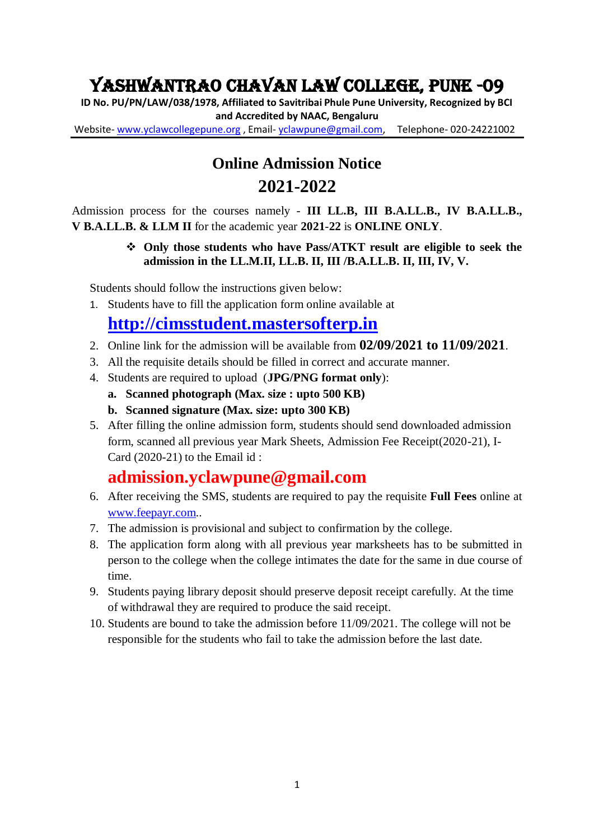# Yashwantrao Chavan Law College, Pune -09

**ID No. PU/PN/LAW/038/1978, Affiliated to Savitribai Phule Pune University, Recognized by BCI and Accredited by NAAC, Bengaluru** Website- [www.yclawcollegepune.org](http://www.yclawcollegepune.org/) , Email- [yclawpune@gmail.com,](mailto:yclawpune@gmail.com) Telephone- 020-24221002

# **Online Admission Notice 2021-2022**

Admission process for the courses namely - **III LL.B, III B.A.LL.B., IV B.A.LL.B., V B.A.LL.B. & LLM II** for the academic year **2021**-**22** is **ONLINE ONLY**.

#### **Only those students who have Pass/ATKT result are eligible to seek the admission in the LL.M.II, LL.B. II, III /B.A.LL.B. II, III, IV, V.**

Students should follow the instructions given below:

1. Students have to fill the application form online available at

## **[http://cimsstudent.mastersofterp.in](http://cimsstudent.mastersofterp.in/)**

- 2. Online link for the admission will be available from **02/09/2021 to 11/09/2021**.
- 3. All the requisite details should be filled in correct and accurate manner.
- 4. Students are required to upload (**JPG/PNG format only**):
	- **a. Scanned photograph (Max. size : upto 500 KB)**
	- **b. Scanned signature (Max. size: upto 300 KB)**
- 5. After filling the online admission form, students should send downloaded admission form, scanned all previous year Mark Sheets, Admission Fee Receipt(2020-21), I-Card (2020-21) to the Email id :

### **admission.yclawpune@gmail.com**

- 6. After receiving the SMS, students are required to pay the requisite **Full Fees** online at [www.feepayr.com.](http://www.feepayr.com/).
- 7. The admission is provisional and subject to confirmation by the college.
- 8. The application form along with all previous year marksheets has to be submitted in person to the college when the college intimates the date for the same in due course of time.
- 9. Students paying library deposit should preserve deposit receipt carefully. At the time of withdrawal they are required to produce the said receipt.
- 10. Students are bound to take the admission before 11/09/2021. The college will not be responsible for the students who fail to take the admission before the last date.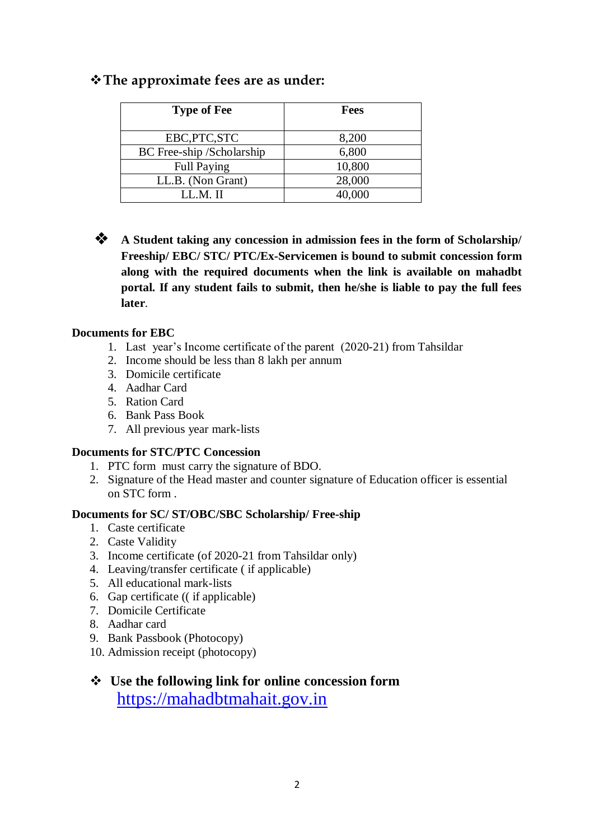#### **The approximate fees are as under:**

| <b>Type of Fee</b>        | <b>Fees</b> |
|---------------------------|-------------|
| EBC, PTC, STC             | 8,200       |
| BC Free-ship /Scholarship | 6,800       |
| <b>Full Paying</b>        | 10,800      |
| LL.B. (Non Grant)         | 28,000      |
| LLM II                    | 40,000      |

**A** Student taking any concession in admission fees in the form of Scholarship/ **Freeship/ EBC/ STC/ PTC/Ex-Servicemen is bound to submit concession form along with the required documents when the link is available on mahadbt portal. If any student fails to submit, then he/she is liable to pay the full fees later**.

#### **Documents for EBC**

- 1. Last year's Income certificate of the parent (2020-21) from Tahsildar
- 2. Income should be less than 8 lakh per annum
- 3. Domicile certificate
- 4. Aadhar Card
- 5. Ration Card
- 6. Bank Pass Book
- 7. All previous year mark-lists

#### **Documents for STC/PTC Concession**

- 1. PTC form must carry the signature of BDO.
- 2. Signature of the Head master and counter signature of Education officer is essential on STC form .

#### **Documents for SC/ ST/OBC/SBC Scholarship/ Free-ship**

- 1. Caste certificate
- 2. Caste Validity
- 3. Income certificate (of 2020-21 from Tahsildar only)
- 4. Leaving/transfer certificate ( if applicable)
- 5. All educational mark-lists
- 6. Gap certificate (( if applicable)
- 7. Domicile Certificate
- 8. Aadhar card
- 9. Bank Passbook (Photocopy)
- 10. Admission receipt (photocopy)

### **Use the following link for online concession form**  [https://mahadbtmahait.gov.in](https://mahadbtmahait.gov.in/)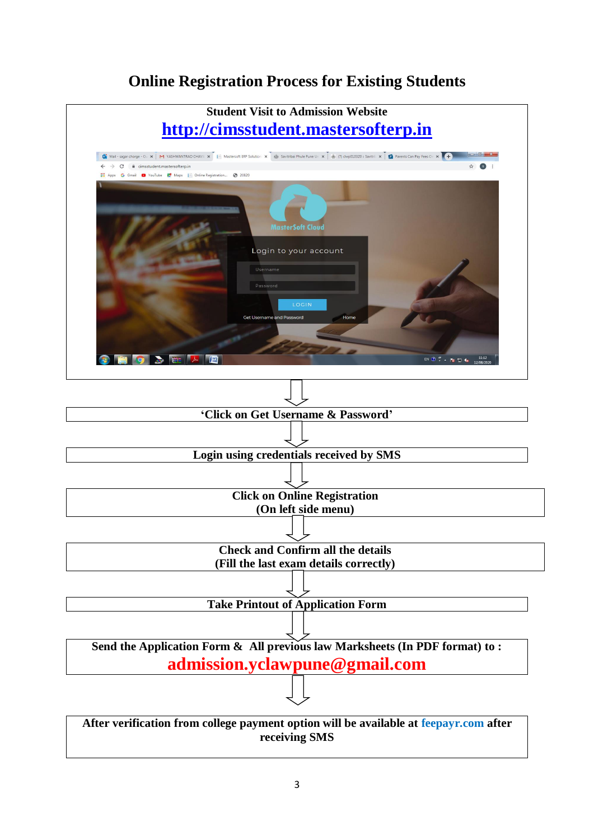### **Online Registration Process for Existing Students**